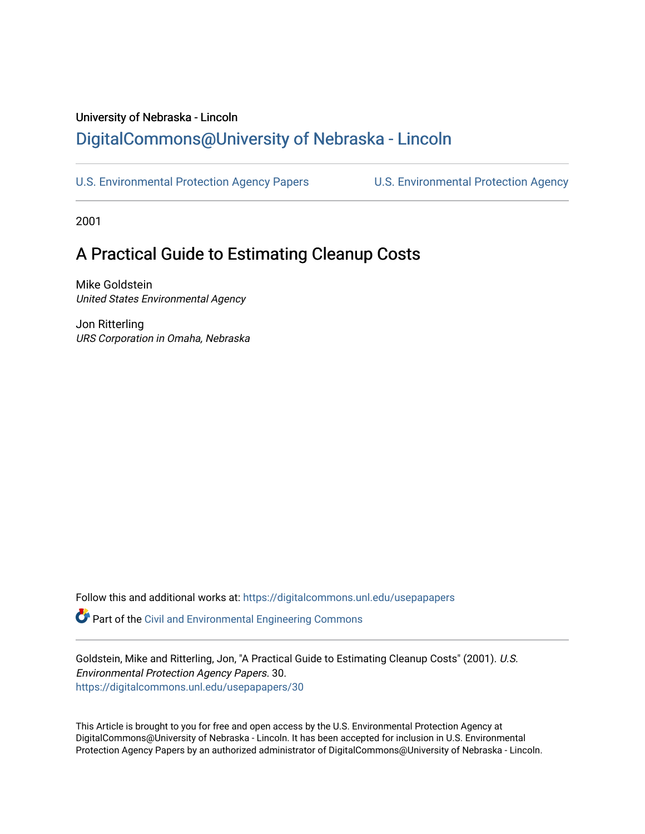# University of Nebraska - Lincoln [DigitalCommons@University of Nebraska - Lincoln](https://digitalcommons.unl.edu/)

[U.S. Environmental Protection Agency Papers](https://digitalcommons.unl.edu/usepapapers) [U.S. Environmental Protection Agency](https://digitalcommons.unl.edu/usepa) 

2001

# A Practical Guide to Estimating Cleanup Costs

Mike Goldstein United States Environmental Agency

Jon Ritterling URS Corporation in Omaha, Nebraska

Follow this and additional works at: [https://digitalcommons.unl.edu/usepapapers](https://digitalcommons.unl.edu/usepapapers?utm_source=digitalcommons.unl.edu%2Fusepapapers%2F30&utm_medium=PDF&utm_campaign=PDFCoverPages) 

Part of the [Civil and Environmental Engineering Commons](http://network.bepress.com/hgg/discipline/251?utm_source=digitalcommons.unl.edu%2Fusepapapers%2F30&utm_medium=PDF&utm_campaign=PDFCoverPages)

Goldstein, Mike and Ritterling, Jon, "A Practical Guide to Estimating Cleanup Costs" (2001). U.S. Environmental Protection Agency Papers. 30. [https://digitalcommons.unl.edu/usepapapers/30](https://digitalcommons.unl.edu/usepapapers/30?utm_source=digitalcommons.unl.edu%2Fusepapapers%2F30&utm_medium=PDF&utm_campaign=PDFCoverPages) 

This Article is brought to you for free and open access by the U.S. Environmental Protection Agency at DigitalCommons@University of Nebraska - Lincoln. It has been accepted for inclusion in U.S. Environmental Protection Agency Papers by an authorized administrator of DigitalCommons@University of Nebraska - Lincoln.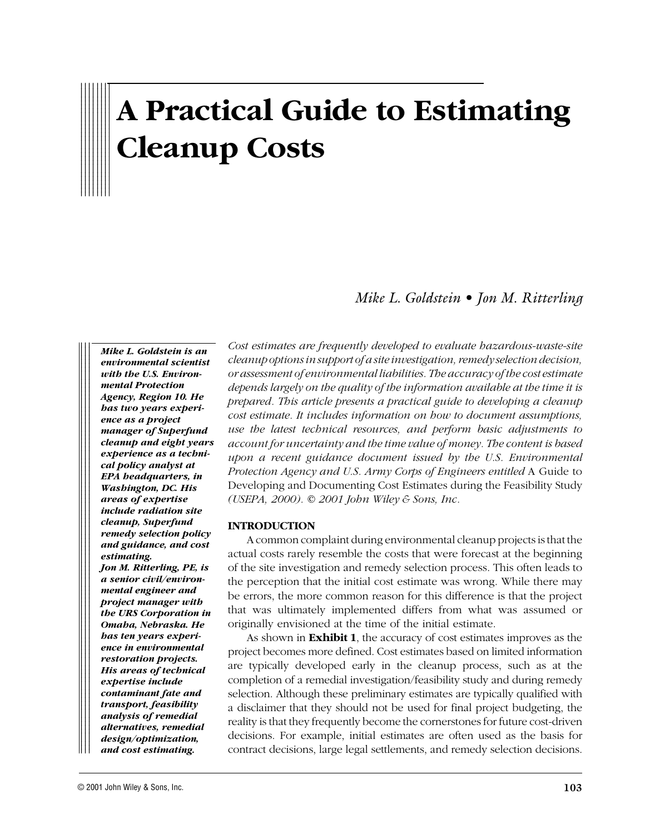# **A Practical Guide to Estimating Cleanup Costs**

# *Mike L. Goldstein • Jon M. Ritterling*

*Mike L. Goldstein is an environmental scientist with the U.S. Environmental Protection Agency, Region 10. He has two years experience as a project manager of Superfund cleanup and eight years experience as a technical policy analyst at EPA headquarters, in Washington, DC. His areas of expertise include radiation site cleanup, Superfund remedy selection policy and guidance, and cost estimating. Jon M. Ritterling, PE, is a senior civil/environmental engineer and project manager with the URS Corporation in Omaha, Nebraska. He has ten years experience in environmental restoration projects. His areas of technical expertise include contaminant fate and transport, feasibility analysis of remedial alternatives, remedial design/optimization, and cost estimating.*

123456789 . . . . . . . . . . . . . . . . . . . . . . . . . . . . . . . . . . . . . . . . . . . . . . . . . . . . . . . . . . . . . . . . . . . . . . . . . . . . . . . . . . . . . . . . . . . . . . . . . . . . . . . . . . . . . . . . . . . . . . . . . . . . . . . . . . . . . . . . . . . . . . . . . . . . . . . . . . . . . . . . . . . . . . . . . . . . . . . . . . . . . . . . . . . . . . . . . . . . . . . . . . . . . . . . . . . . . . . . . . . . . . . . . . . . . . . . . . . . . . . . . . . . . . . . . . . . . . . . . . . .

*Cost estimates are frequently developed to evaluate hazardous-waste-site cleanup options in support of a site investigation, remedy selection decision, or assessment of environmental liabilities. The accuracy of the cost estimate depends largely on the quality of the information available at the time it is prepared. This article presents a practical guide to developing a cleanup cost estimate. It includes information on how to document assumptions, use the latest technical resources, and perform basic adjustments to account for uncertainty and the time value of money. The content is based upon a recent guidance document issued by the U.S. Environmental Protection Agency and U.S. Army Corps of Engineers entitled* A Guide to Developing and Documenting Cost Estimates during the Feasibility Study *(USEPA, 2000). © 2001 John Wiley & Sons, Inc.*

#### **INTRODUCTION**

A common complaint during environmental cleanup projects is that the actual costs rarely resemble the costs that were forecast at the beginning of the site investigation and remedy selection process. This often leads to the perception that the initial cost estimate was wrong. While there may be errors, the more common reason for this difference is that the project that was ultimately implemented differs from what was assumed or originally envisioned at the time of the initial estimate.

As shown in **Exhibit 1**, the accuracy of cost estimates improves as the project becomes more defined. Cost estimates based on limited information are typically developed early in the cleanup process, such as at the completion of a remedial investigation/feasibility study and during remedy selection. Although these preliminary estimates are typically qualified with a disclaimer that they should not be used for final project budgeting, the reality is that they frequently become the cornerstones for future cost-driven decisions. For example, initial estimates are often used as the basis for contract decisions, large legal settlements, and remedy selection decisions.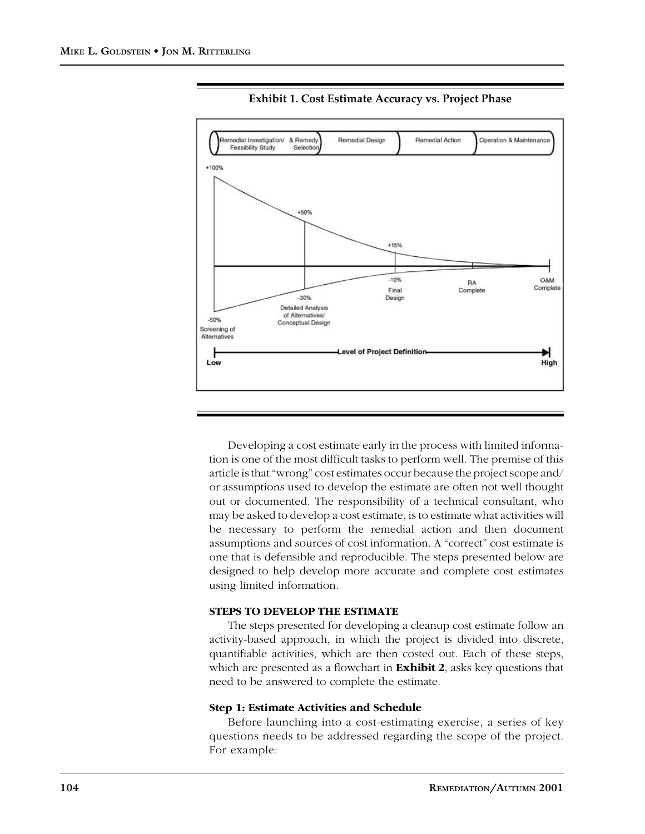

**Exhibit 1. Cost Estimate Accuracy vs. Project Phase**

Developing a cost estimate early in the process with limited information is one of the most difficult tasks to perform well. The premise of this article is that "wrong" cost estimates occur because the project scope and/ or assumptions used to develop the estimate are often not well thought out or documented. The responsibility of a technical consultant, who may be asked to develop a cost estimate, is to estimate what activities will be necessary to perform the remedial action and then document assumptions and sources of cost information. A "correct" cost estimate is one that is defensible and reproducible. The steps presented below are designed to help develop more accurate and complete cost estimates using limited information.

#### **STEPS TO DEVELOP THE ESTIMATE**

The steps presented for developing a cleanup cost estimate follow an activity-based approach, in which the project is divided into discrete, quantifiable activities, which are then costed out. Each of these steps, which are presented as a flowchart in **Exhibit 2**, asks key questions that need to be answered to complete the estimate.

#### **Step 1: Estimate Activities and Schedule**

Before launching into a cost-estimating exercise, a series of key questions needs to be addressed regarding the scope of the project. For example: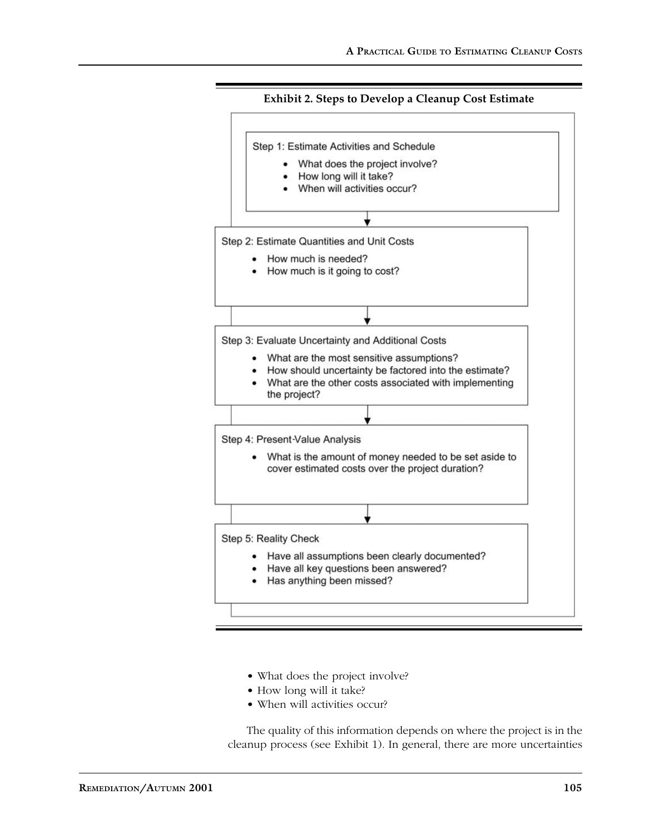

**Exhibit 2. Steps to Develop a Cleanup Cost Estimate**

- What does the project involve?
- How long will it take?
- When will activities occur?

The quality of this information depends on where the project is in the cleanup process (see Exhibit 1). In general, there are more uncertainties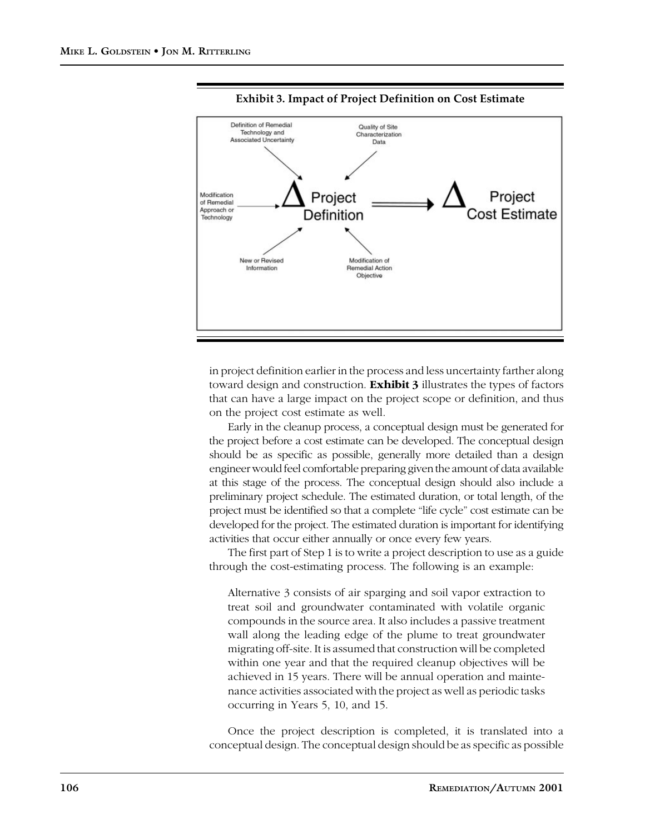



in project definition earlier in the process and less uncertainty farther along toward design and construction. **Exhibit 3** illustrates the types of factors that can have a large impact on the project scope or definition, and thus on the project cost estimate as well.

Early in the cleanup process, a conceptual design must be generated for the project before a cost estimate can be developed. The conceptual design should be as specific as possible, generally more detailed than a design engineer would feel comfortable preparing given the amount of data available at this stage of the process. The conceptual design should also include a preliminary project schedule. The estimated duration, or total length, of the project must be identified so that a complete "life cycle" cost estimate can be developed for the project. The estimated duration is important for identifying activities that occur either annually or once every few years.

The first part of Step 1 is to write a project description to use as a guide through the cost-estimating process. The following is an example:

Alternative 3 consists of air sparging and soil vapor extraction to treat soil and groundwater contaminated with volatile organic compounds in the source area. It also includes a passive treatment wall along the leading edge of the plume to treat groundwater migrating off-site. It is assumed that construction will be completed within one year and that the required cleanup objectives will be achieved in 15 years. There will be annual operation and maintenance activities associated with the project as well as periodic tasks occurring in Years 5, 10, and 15.

Once the project description is completed, it is translated into a conceptual design. The conceptual design should be as specific as possible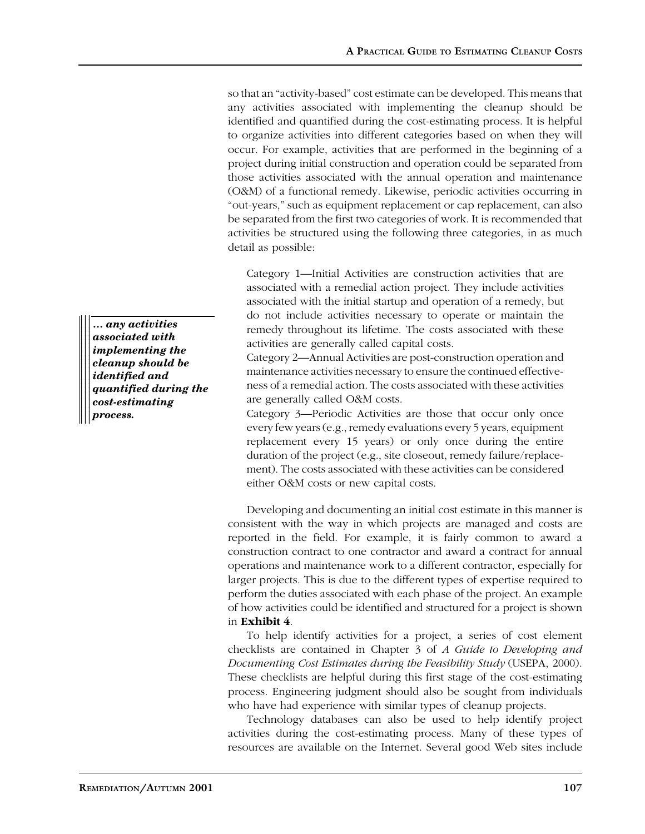so that an "activity-based" cost estimate can be developed. This means that any activities associated with implementing the cleanup should be identified and quantified during the cost-estimating process. It is helpful to organize activities into different categories based on when they will occur. For example, activities that are performed in the beginning of a project during initial construction and operation could be separated from those activities associated with the annual operation and maintenance (O&M) of a functional remedy. Likewise, periodic activities occurring in "out-years," such as equipment replacement or cap replacement, can also be separated from the first two categories of work. It is recommended that activities be structured using the following three categories, in as much detail as possible:

Category 1—Initial Activities are construction activities that are associated with a remedial action project. They include activities associated with the initial startup and operation of a remedy, but do not include activities necessary to operate or maintain the remedy throughout its lifetime. The costs associated with these activities are generally called capital costs.

Category 2—Annual Activities are post-construction operation and maintenance activities necessary to ensure the continued effectiveness of a remedial action. The costs associated with these activities are generally called O&M costs.

Category 3—Periodic Activities are those that occur only once every few years (e.g., remedy evaluations every 5 years, equipment replacement every 15 years) or only once during the entire duration of the project (e.g., site closeout, remedy failure/replacement). The costs associated with these activities can be considered either O&M costs or new capital costs.

Developing and documenting an initial cost estimate in this manner is consistent with the way in which projects are managed and costs are reported in the field. For example, it is fairly common to award a construction contract to one contractor and award a contract for annual operations and maintenance work to a different contractor, especially for larger projects. This is due to the different types of expertise required to perform the duties associated with each phase of the project. An example of how activities could be identified and structured for a project is shown in **Exhibit 4**.

To help identify activities for a project, a series of cost element checklists are contained in Chapter 3 of *A Guide to Developing and Documenting Cost Estimates during the Feasibility Study* (USEPA, 2000). These checklists are helpful during this first stage of the cost-estimating process. Engineering judgment should also be sought from individuals who have had experience with similar types of cleanup projects.

Technology databases can also be used to help identify project activities during the cost-estimating process. Many of these types of resources are available on the Internet. Several good Web sites include

*… any activities associated with implementing the cleanup should be identified and quantified during the cost-estimating process.* 1234 1234 1234 1234 1234 1234 1234 . . . . 1234 1234 1234 1234 1234 1234 1234 1234 1234 1234 1234 1234 1234 1234 1234 1234 1234 1234

1234

1234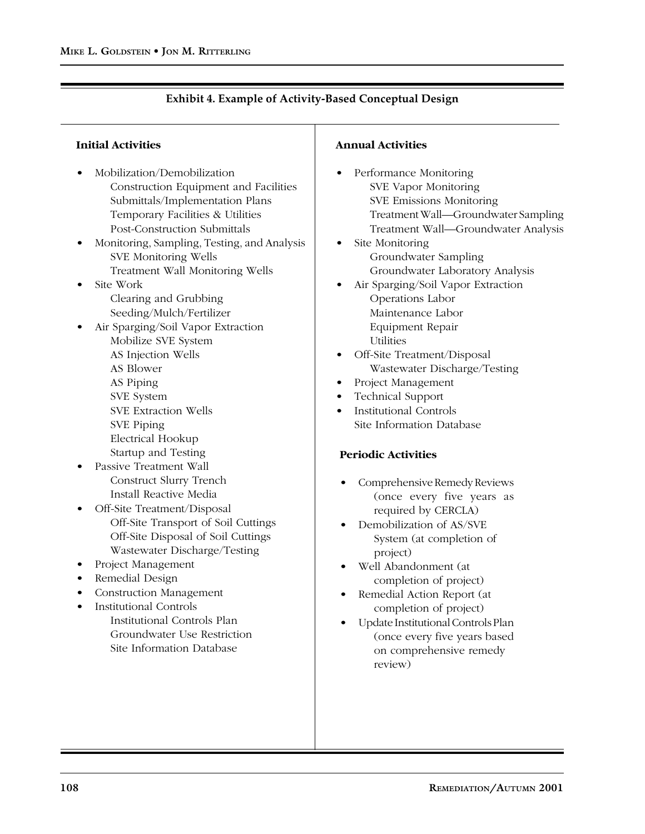# **Exhibit 4. Example of Activity-Based Conceptual Design**

## **Initial Activities**

- Mobilization/Demobilization Construction Equipment and Facilities Submittals/Implementation Plans Temporary Facilities & Utilities Post-Construction Submittals
- Monitoring, Sampling, Testing, and Analysis SVE Monitoring Wells Treatment Wall Monitoring Wells
- Site Work Clearing and Grubbing Seeding/Mulch/Fertilizer
- Air Sparging/Soil Vapor Extraction Mobilize SVE System AS Injection Wells AS Blower AS Piping SVE System SVE Extraction Wells SVE Piping Electrical Hookup
- Startup and Testing • Passive Treatment Wall Construct Slurry Trench Install Reactive Media
- Off-Site Treatment/Disposal Off-Site Transport of Soil Cuttings Off-Site Disposal of Soil Cuttings Wastewater Discharge/Testing
- Project Management
- Remedial Design
- Construction Management
- Institutional Controls Institutional Controls Plan Groundwater Use Restriction Site Information Database

# **Annual Activities**

- Performance Monitoring SVE Vapor Monitoring SVE Emissions Monitoring Treatment Wall—Groundwater Sampling Treatment Wall—Groundwater Analysis
- Site Monitoring Groundwater Sampling Groundwater Laboratory Analysis
- Air Sparging/Soil Vapor Extraction Operations Labor Maintenance Labor Equipment Repair **Utilities**
- Off-Site Treatment/Disposal Wastewater Discharge/Testing
- Project Management
- Technical Support
- Institutional Controls Site Information Database

# **Periodic Activities**

- Comprehensive Remedy Reviews (once every five years as required by CERCLA)
- Demobilization of AS/SVE System (at completion of project)
- Well Abandonment (at completion of project)
- Remedial Action Report (at completion of project)
- Update Institutional Controls Plan (once every five years based on comprehensive remedy review)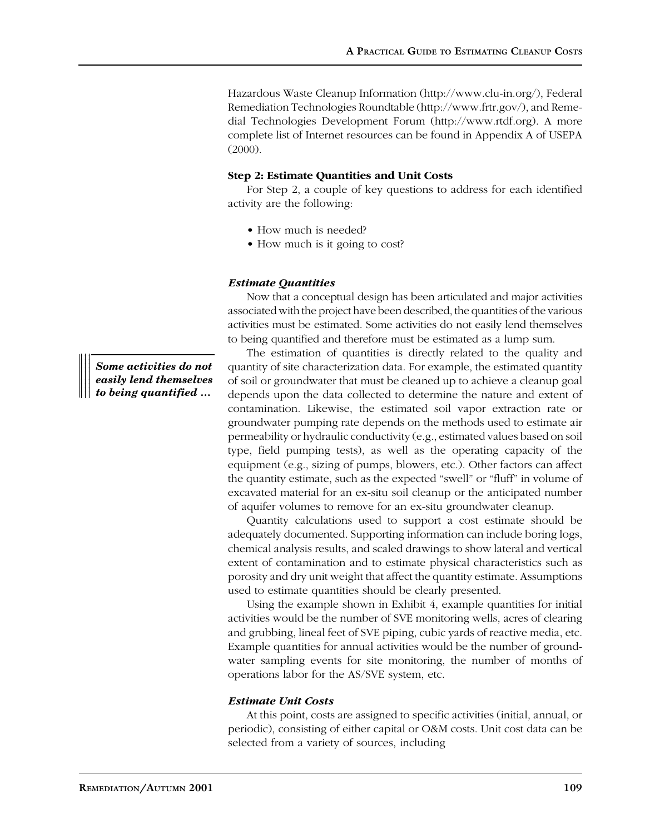Hazardous Waste Cleanup Information (http://www.clu-in.org/), Federal Remediation Technologies Roundtable (http://www.frtr.gov/), and Remedial Technologies Development Forum (http://www.rtdf.org). A more complete list of Internet resources can be found in Appendix A of USEPA (2000).

#### **Step 2: Estimate Quantities and Unit Costs**

For Step 2, a couple of key questions to address for each identified activity are the following:

- How much is needed?
- How much is it going to cost?

#### *Estimate Quantities*

Now that a conceptual design has been articulated and major activities associated with the project have been described, the quantities of the various activities must be estimated. Some activities do not easily lend themselves to being quantified and therefore must be estimated as a lump sum.

The estimation of quantities is directly related to the quality and quantity of site characterization data. For example, the estimated quantity of soil or groundwater that must be cleaned up to achieve a cleanup goal depends upon the data collected to determine the nature and extent of contamination. Likewise, the estimated soil vapor extraction rate or groundwater pumping rate depends on the methods used to estimate air permeability or hydraulic conductivity (e.g., estimated values based on soil type, field pumping tests), as well as the operating capacity of the equipment (e.g., sizing of pumps, blowers, etc.). Other factors can affect the quantity estimate, such as the expected "swell" or "fluff" in volume of excavated material for an ex-situ soil cleanup or the anticipated number of aquifer volumes to remove for an ex-situ groundwater cleanup.

Quantity calculations used to support a cost estimate should be adequately documented. Supporting information can include boring logs, chemical analysis results, and scaled drawings to show lateral and vertical extent of contamination and to estimate physical characteristics such as porosity and dry unit weight that affect the quantity estimate. Assumptions used to estimate quantities should be clearly presented.

Using the example shown in Exhibit 4, example quantities for initial activities would be the number of SVE monitoring wells, acres of clearing and grubbing, lineal feet of SVE piping, cubic yards of reactive media, etc. Example quantities for annual activities would be the number of groundwater sampling events for site monitoring, the number of months of operations labor for the AS/SVE system, etc.

#### *Estimate Unit Costs*

At this point, costs are assigned to specific activities (initial, annual, or periodic), consisting of either capital or O&M costs. Unit cost data can be selected from a variety of sources, including

*Some activities do not easily lend themselves to being quantified …*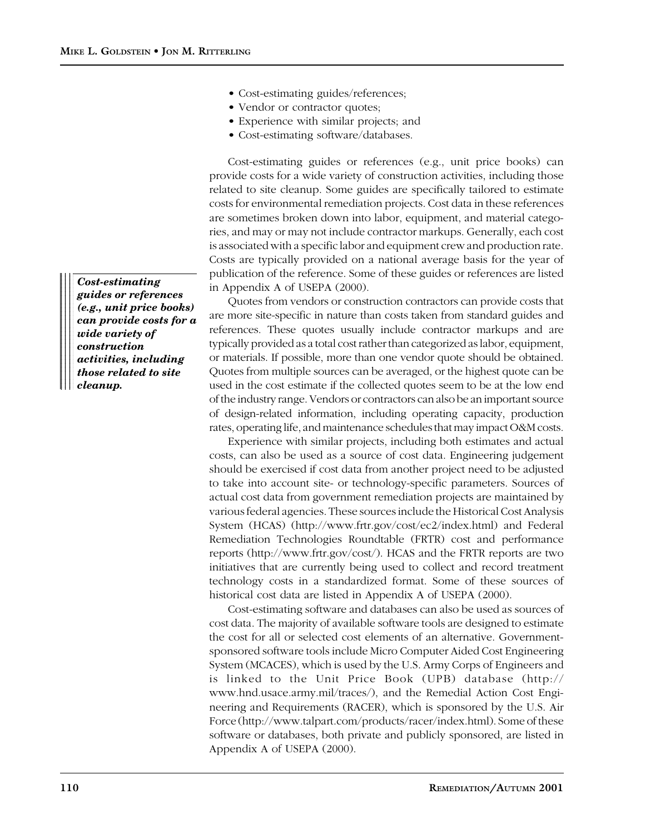- Cost-estimating guides/references;
- Vendor or contractor quotes;
- Experience with similar projects; and
- Cost-estimating software/databases.

Cost-estimating guides or references (e.g., unit price books) can provide costs for a wide variety of construction activities, including those related to site cleanup. Some guides are specifically tailored to estimate costs for environmental remediation projects. Cost data in these references are sometimes broken down into labor, equipment, and material categories, and may or may not include contractor markups. Generally, each cost is associated with a specific labor and equipment crew and production rate. Costs are typically provided on a national average basis for the year of publication of the reference. Some of these guides or references are listed in Appendix A of USEPA (2000).

Quotes from vendors or construction contractors can provide costs that are more site-specific in nature than costs taken from standard guides and references. These quotes usually include contractor markups and are typically provided as a total cost rather than categorized as labor, equipment, or materials. If possible, more than one vendor quote should be obtained. Quotes from multiple sources can be averaged, or the highest quote can be used in the cost estimate if the collected quotes seem to be at the low end of the industry range. Vendors or contractors can also be an important source of design-related information, including operating capacity, production rates, operating life, and maintenance schedules that may impact O&M costs.

Experience with similar projects, including both estimates and actual costs, can also be used as a source of cost data. Engineering judgement should be exercised if cost data from another project need to be adjusted to take into account site- or technology-specific parameters. Sources of actual cost data from government remediation projects are maintained by various federal agencies. These sources include the Historical Cost Analysis System (HCAS) (http://www.frtr.gov/cost/ec2/index.html) and Federal Remediation Technologies Roundtable (FRTR) cost and performance reports (http://www.frtr.gov/cost/). HCAS and the FRTR reports are two initiatives that are currently being used to collect and record treatment technology costs in a standardized format. Some of these sources of historical cost data are listed in Appendix A of USEPA (2000).

Cost-estimating software and databases can also be used as sources of cost data. The majority of available software tools are designed to estimate the cost for all or selected cost elements of an alternative. Governmentsponsored software tools include Micro Computer Aided Cost Engineering System (MCACES), which is used by the U.S. Army Corps of Engineers and is linked to the Unit Price Book (UPB) database (http:// www.hnd.usace.army.mil/traces/), and the Remedial Action Cost Engineering and Requirements (RACER), which is sponsored by the U.S. Air Force (http://www.talpart.com/products/racer/index.html). Some of these software or databases, both private and publicly sponsored, are listed in Appendix A of USEPA (2000).

*Cost-estimating guides or references (e.g., unit price books) can provide costs for a wide variety of construction activities, including those related to site cleanup.* . . . . . . . . . . . . . . . . . . . . . . . . . . . . . . . . . . . . . . . . . . . . . . . . . . . . . . . . . . . . . . . . . . . . . . . . . . . . . . . . . . . . . . . . . . . . . . . . . .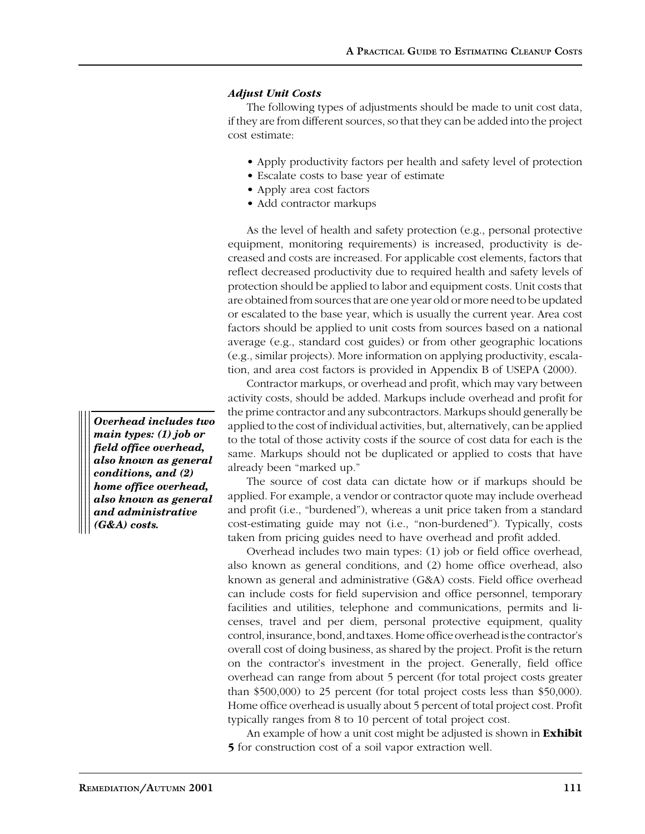#### *Adjust Unit Costs*

The following types of adjustments should be made to unit cost data, if they are from different sources, so that they can be added into the project cost estimate:

- Apply productivity factors per health and safety level of protection
- Escalate costs to base year of estimate
- Apply area cost factors
- Add contractor markups

As the level of health and safety protection (e.g., personal protective equipment, monitoring requirements) is increased, productivity is decreased and costs are increased. For applicable cost elements, factors that reflect decreased productivity due to required health and safety levels of protection should be applied to labor and equipment costs. Unit costs that are obtained from sources that are one year old or more need to be updated or escalated to the base year, which is usually the current year. Area cost factors should be applied to unit costs from sources based on a national average (e.g., standard cost guides) or from other geographic locations (e.g., similar projects). More information on applying productivity, escalation, and area cost factors is provided in Appendix B of USEPA (2000).

Contractor markups, or overhead and profit, which may vary between activity costs, should be added. Markups include overhead and profit for the prime contractor and any subcontractors. Markups should generally be applied to the cost of individual activities, but, alternatively, can be applied to the total of those activity costs if the source of cost data for each is the same. Markups should not be duplicated or applied to costs that have already been "marked up."

The source of cost data can dictate how or if markups should be applied. For example, a vendor or contractor quote may include overhead and profit (i.e., "burdened"), whereas a unit price taken from a standard cost-estimating guide may not (i.e., "non-burdened"). Typically, costs taken from pricing guides need to have overhead and profit added.

Overhead includes two main types: (1) job or field office overhead, also known as general conditions, and (2) home office overhead, also known as general and administrative (G&A) costs. Field office overhead can include costs for field supervision and office personnel, temporary facilities and utilities, telephone and communications, permits and licenses, travel and per diem, personal protective equipment, quality control, insurance, bond, and taxes. Home office overhead is the contractor's overall cost of doing business, as shared by the project. Profit is the return on the contractor's investment in the project. Generally, field office overhead can range from about 5 percent (for total project costs greater than \$500,000) to 25 percent (for total project costs less than \$50,000). Home office overhead is usually about 5 percent of total project cost. Profit typically ranges from 8 to 10 percent of total project cost.

An example of how a unit cost might be adjusted is shown in **Exhibit 5** for construction cost of a soil vapor extraction well.

*Overhead includes two main types: (1) job or field office overhead, also known as general conditions, and (2) home office overhead, also known as general and administrative (G&A) costs.* 1234 1234 1234 1234 1234 1234 1234 1234 1234 1234 1234 1234 1234 1234 1234 1234 1234 1234 1234 1234 1234 1234 1234 1234 . . . . 1234 1234 1234 1234 1234

1234 C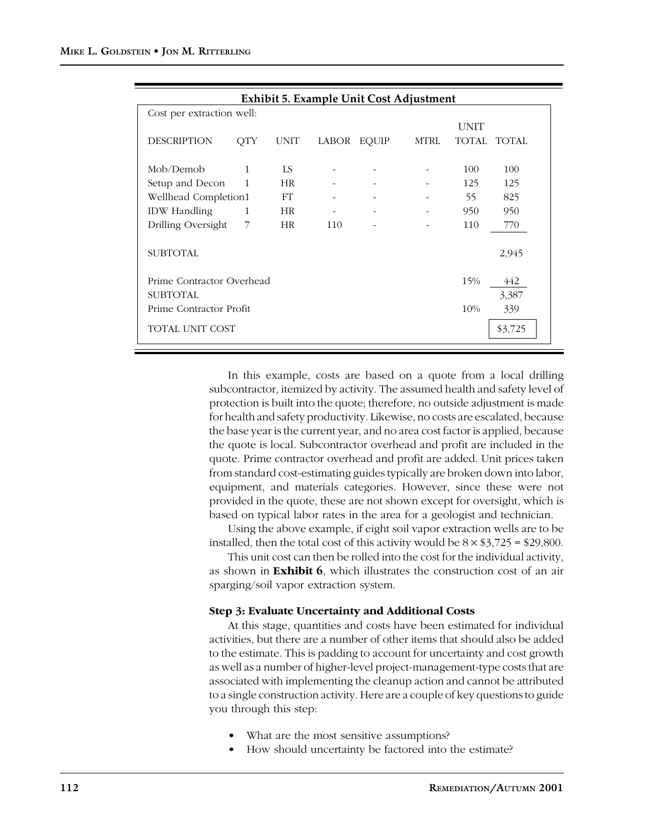| <b>Exhibit 5. Example Unit Cost Adjustment</b> |              |             |             |  |             |             |             |
|------------------------------------------------|--------------|-------------|-------------|--|-------------|-------------|-------------|
| Cost per extraction well:                      |              |             |             |  |             |             |             |
|                                                |              |             |             |  |             | <b>UNIT</b> |             |
| <b>DESCRIPTION</b>                             | <b>QTY</b>   | <b>UNIT</b> | LABOR EQUIP |  | <b>MTRL</b> |             | TOTAL TOTAL |
|                                                |              |             |             |  |             |             |             |
| Mob/Demob                                      | $\mathbf{1}$ | <b>LS</b>   |             |  |             | 100         | 100         |
| Setup and Decon<br>1<br><b>HR</b>              |              |             |             |  |             | 125         | 125         |
| Wellhead Completion1                           | FT           |             |             |  | 55          | 825         |             |
| <b>IDW</b> Handling<br>1                       |              | <b>HR</b>   |             |  |             | 950         | 950         |
| Drilling Oversight<br>7                        |              | HR          | 110         |  |             | 110         | 770         |
|                                                |              |             |             |  |             |             |             |
| <b>SUBTOTAL</b>                                |              |             |             |  |             |             | 2,945       |
|                                                |              |             |             |  |             |             |             |
| Prime Contractor Overhead                      |              |             |             |  |             | 15%         | 442         |
| <b>SUBTOTAL</b>                                |              |             |             |  |             |             | 3,387       |
| Prime Contractor Profit<br>10%                 |              |             |             |  |             |             | 339         |
| TOTAL UNIT COST                                |              |             |             |  |             | \$3,725     |             |
|                                                |              |             |             |  |             |             |             |

In this example, costs are based on a quote from a local drilling subcontractor, itemized by activity. The assumed health and safety level of protection is built into the quote; therefore, no outside adjustment is made for health and safety productivity. Likewise, no costs are escalated, because the base year is the current year, and no area cost factor is applied, because the quote is local. Subcontractor overhead and profit are included in the quote. Prime contractor overhead and profit are added. Unit prices taken from standard cost-estimating guides typically are broken down into labor, equipment, and materials categories. However, since these were not provided in the quote, these are not shown except for oversight, which is based on typical labor rates in the area for a geologist and technician.

Using the above example, if eight soil vapor extraction wells are to be installed, then the total cost of this activity would be  $8 \times $3,725 = $29,800$ .

This unit cost can then be rolled into the cost for the individual activity, as shown in **Exhibit 6**, which illustrates the construction cost of an air sparging/soil vapor extraction system.

#### **Step 3: Evaluate Uncertainty and Additional Costs**

At this stage, quantities and costs have been estimated for individual activities, but there are a number of other items that should also be added to the estimate. This is padding to account for uncertainty and cost growth as well as a number of higher-level project-management-type costs that are associated with implementing the cleanup action and cannot be attributed to a single construction activity. Here are a couple of key questions to guide you through this step:

- What are the most sensitive assumptions?
- How should uncertainty be factored into the estimate?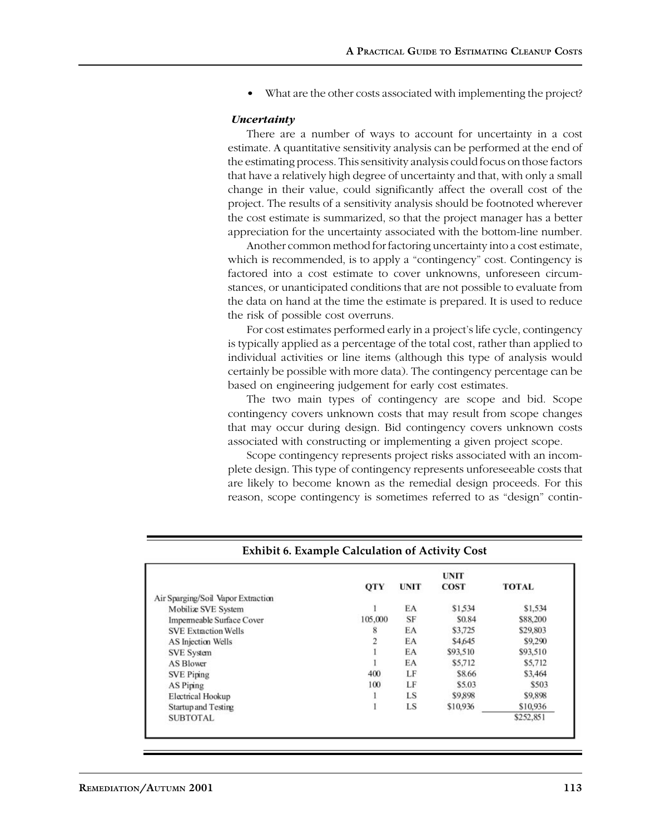What are the other costs associated with implementing the project?

#### *Uncertainty*

There are a number of ways to account for uncertainty in a cost estimate. A quantitative sensitivity analysis can be performed at the end of the estimating process. This sensitivity analysis could focus on those factors that have a relatively high degree of uncertainty and that, with only a small change in their value, could significantly affect the overall cost of the project. The results of a sensitivity analysis should be footnoted wherever the cost estimate is summarized, so that the project manager has a better appreciation for the uncertainty associated with the bottom-line number.

Another common method for factoring uncertainty into a cost estimate, which is recommended, is to apply a "contingency" cost. Contingency is factored into a cost estimate to cover unknowns, unforeseen circumstances, or unanticipated conditions that are not possible to evaluate from the data on hand at the time the estimate is prepared. It is used to reduce the risk of possible cost overruns.

For cost estimates performed early in a project's life cycle, contingency is typically applied as a percentage of the total cost, rather than applied to individual activities or line items (although this type of analysis would certainly be possible with more data). The contingency percentage can be based on engineering judgement for early cost estimates.

The two main types of contingency are scope and bid. Scope contingency covers unknown costs that may result from scope changes that may occur during design. Bid contingency covers unknown costs associated with constructing or implementing a given project scope.

Scope contingency represents project risks associated with an incomplete design. This type of contingency represents unforeseeable costs that are likely to become known as the remedial design proceeds. For this reason, scope contingency is sometimes referred to as "design" contin-

|                                    |            |             | <b>UNIT</b> |              |
|------------------------------------|------------|-------------|-------------|--------------|
|                                    | <b>OTY</b> | <b>UNIT</b> | <b>COST</b> | <b>TOTAL</b> |
| Air Sparging/Soil Vapor Extraction |            |             |             |              |
| Mobilize SVE System                |            | EA          | \$1534      | \$1,534      |
| Impenneable Surface Cover          | 105,000    | SF          | \$0.84      | \$88,200     |
| <b>SVE Extraction Wells</b>        | 8          | EA          | \$3,725     | \$29,803     |
| AS Injection Wells                 |            | EA          | \$4,645     | \$9,290      |
| SVE System                         |            | EA          | \$93,510    | \$93,510     |
| <b>AS Blower</b>                   |            | EA          | \$5,712     | \$5,712      |
| <b>SVE Piping</b>                  | 400        | LF          | \$8.66      | \$3,464      |
| AS Piping                          | 100        | LF          | \$5.03      | \$503        |
| <b>Electrical Hookup</b>           |            | LS          | \$9,898     | \$9,898      |
| Startup and Testing                |            | LS          | \$10,936    | \$10,936     |
| <b>SUBTOTAL</b>                    |            |             |             | \$252,851    |

#### **Exhibit 6. Example Calculation of Activity Cost**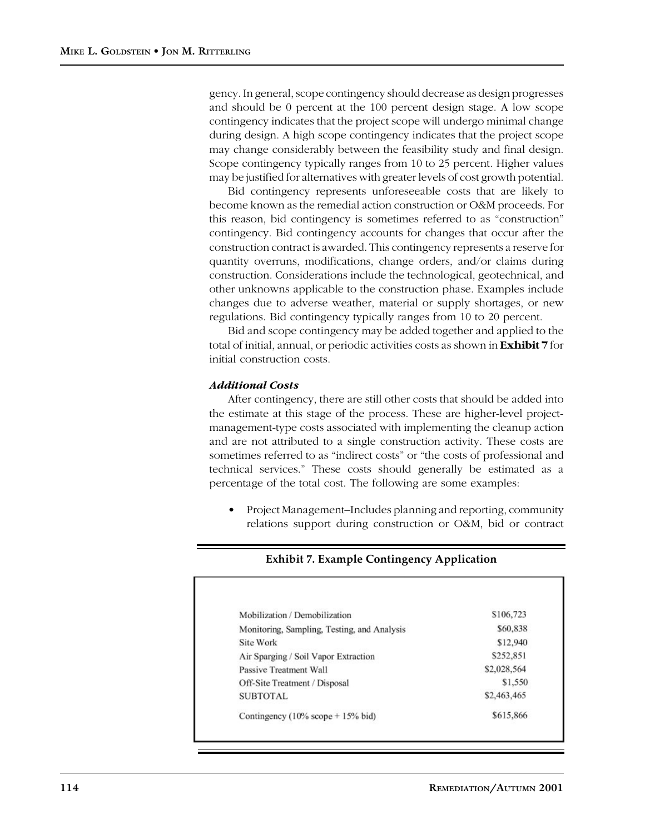gency. In general, scope contingency should decrease as design progresses and should be 0 percent at the 100 percent design stage. A low scope contingency indicates that the project scope will undergo minimal change during design. A high scope contingency indicates that the project scope may change considerably between the feasibility study and final design. Scope contingency typically ranges from 10 to 25 percent. Higher values may be justified for alternatives with greater levels of cost growth potential.

Bid contingency represents unforeseeable costs that are likely to become known as the remedial action construction or O&M proceeds. For this reason, bid contingency is sometimes referred to as "construction" contingency. Bid contingency accounts for changes that occur after the construction contract is awarded. This contingency represents a reserve for quantity overruns, modifications, change orders, and/or claims during construction. Considerations include the technological, geotechnical, and other unknowns applicable to the construction phase. Examples include changes due to adverse weather, material or supply shortages, or new regulations. Bid contingency typically ranges from 10 to 20 percent.

Bid and scope contingency may be added together and applied to the total of initial, annual, or periodic activities costs as shown in **Exhibit 7** for initial construction costs.

#### *Additional Costs*

After contingency, there are still other costs that should be added into the estimate at this stage of the process. These are higher-level projectmanagement-type costs associated with implementing the cleanup action and are not attributed to a single construction activity. These costs are sometimes referred to as "indirect costs" or "the costs of professional and technical services." These costs should generally be estimated as a percentage of the total cost. The following are some examples:

• Project Management–Includes planning and reporting, community relations support during construction or O&M, bid or contract

| Mobilization / Demobilization               | \$106,723   |
|---------------------------------------------|-------------|
| Monitoring, Sampling, Testing, and Analysis | \$60,838    |
| Site Work                                   | \$12,940    |
| Air Sparging / Soil Vapor Extraction        | \$252,851   |
| Passive Treatment Wall                      | \$2,028,564 |
| Off-Site Treatment / Disposal               | \$1,550     |
| <b>SUBTOTAL</b>                             | \$2,463,465 |
| Contingency (10% scope + $15%$ bid)         | \$615,866   |

#### **Exhibit 7. Example Contingency Application**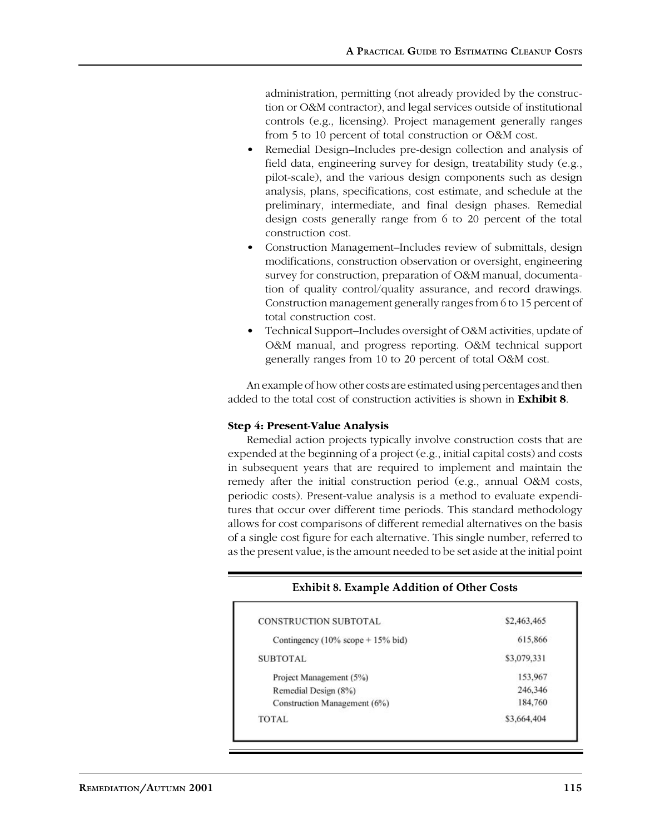administration, permitting (not already provided by the construction or O&M contractor), and legal services outside of institutional controls (e.g., licensing). Project management generally ranges from 5 to 10 percent of total construction or O&M cost.

- Remedial Design–Includes pre-design collection and analysis of field data, engineering survey for design, treatability study (e.g., pilot-scale), and the various design components such as design analysis, plans, specifications, cost estimate, and schedule at the preliminary, intermediate, and final design phases. Remedial design costs generally range from 6 to 20 percent of the total construction cost.
- Construction Management–Includes review of submittals, design modifications, construction observation or oversight, engineering survey for construction, preparation of O&M manual, documentation of quality control/quality assurance, and record drawings. Construction management generally ranges from 6 to 15 percent of total construction cost.
- Technical Support–Includes oversight of O&M activities, update of O&M manual, and progress reporting. O&M technical support generally ranges from 10 to 20 percent of total O&M cost.

An example of how other costs are estimated using percentages and then added to the total cost of construction activities is shown in **Exhibit 8**.

#### **Step 4: Present-Value Analysis**

Remedial action projects typically involve construction costs that are expended at the beginning of a project (e.g., initial capital costs) and costs in subsequent years that are required to implement and maintain the remedy after the initial construction period (e.g., annual O&M costs, periodic costs). Present-value analysis is a method to evaluate expenditures that occur over different time periods. This standard methodology allows for cost comparisons of different remedial alternatives on the basis of a single cost figure for each alternative. This single number, referred to as the present value, is the amount needed to be set aside at the initial point

#### **Exhibit 8. Example Addition of Other Costs**

| <b>CONSTRUCTION SUBTOTAL</b>      | \$2,463,465 |
|-----------------------------------|-------------|
| Contingency (10% scope + 15% bid) | 615,866     |
| <b>SUBTOTAL</b>                   | \$3,079,331 |
| Project Management (5%)           | 153,967     |
| Remedial Design (8%)              | 246,346     |
| Construction Management (6%)      | 184,760     |
| <b>TOTAL</b>                      | \$3,664,404 |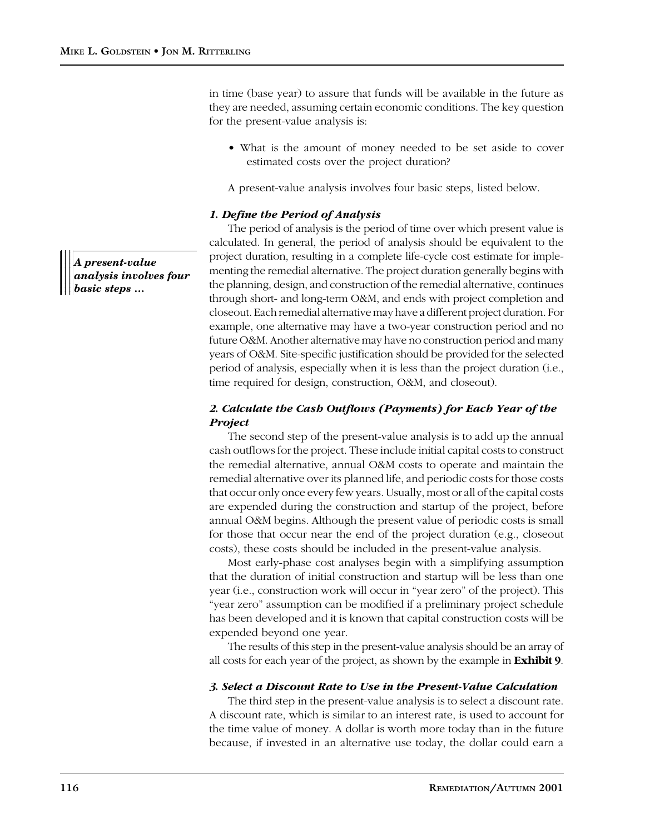in time (base year) to assure that funds will be available in the future as they are needed, assuming certain economic conditions. The key question for the present-value analysis is:

• What is the amount of money needed to be set aside to cover estimated costs over the project duration?

A present-value analysis involves four basic steps, listed below.

#### *1. Define the Period of Analysis*

The period of analysis is the period of time over which present value is calculated. In general, the period of analysis should be equivalent to the project duration, resulting in a complete life-cycle cost estimate for implementing the remedial alternative. The project duration generally begins with the planning, design, and construction of the remedial alternative, continues through short- and long-term O&M, and ends with project completion and closeout. Each remedial alternative may have a different project duration. For example, one alternative may have a two-year construction period and no future O&M. Another alternative may have no construction period and many years of O&M. Site-specific justification should be provided for the selected period of analysis, especially when it is less than the project duration (i.e., time required for design, construction, O&M, and closeout).

### *2. Calculate the Cash Outflows (Payments) for Each Year of the Project*

The second step of the present-value analysis is to add up the annual cash outflows for the project. These include initial capital costs to construct the remedial alternative, annual O&M costs to operate and maintain the remedial alternative over its planned life, and periodic costs for those costs that occur only once every few years. Usually, most or all of the capital costs are expended during the construction and startup of the project, before annual O&M begins. Although the present value of periodic costs is small for those that occur near the end of the project duration (e.g., closeout costs), these costs should be included in the present-value analysis.

Most early-phase cost analyses begin with a simplifying assumption that the duration of initial construction and startup will be less than one year (i.e., construction work will occur in "year zero" of the project). This "year zero" assumption can be modified if a preliminary project schedule has been developed and it is known that capital construction costs will be expended beyond one year.

The results of this step in the present-value analysis should be an array of all costs for each year of the project, as shown by the example in **Exhibit 9**.

#### *3. Select a Discount Rate to Use in the Present-Value Calculation*

The third step in the present-value analysis is to select a discount rate. A discount rate, which is similar to an interest rate, is used to account for the time value of money. A dollar is worth more today than in the future because, if invested in an alternative use today, the dollar could earn a

 $\Vert \Vert A$  present-value  $\left\Vert {}\right\Vert$  analysis involves four  $\| \|$  basic steps  $...$ . . . . . . . . . .

. . . .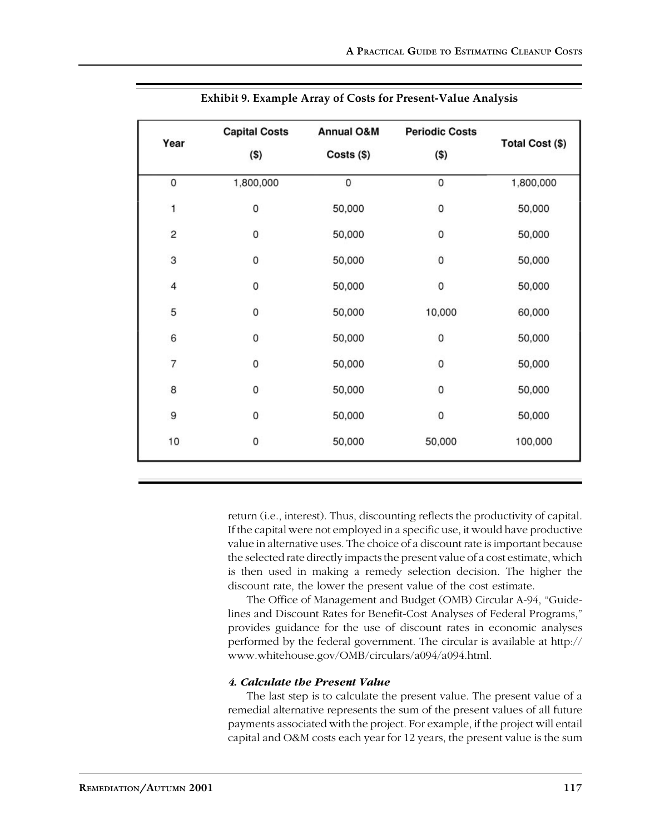| Year                     | <b>Capital Costs</b><br>$($ \$) | Annual O&M<br>Costs (\$) | <b>Periodic Costs</b><br>$($ \$) | Total Cost (\$) |
|--------------------------|---------------------------------|--------------------------|----------------------------------|-----------------|
| 0                        | 1,800,000                       | 0                        | 0                                | 1,800,000       |
| 1                        | 0                               | 50,000                   | $\mathsf 0$                      | 50,000          |
| $\overline{c}$           | 0                               | 50,000                   | $\mathbf 0$                      | 50,000          |
| 3                        | 0                               | 50,000                   | $\mathbf 0$                      | 50,000          |
| $\overline{\mathcal{A}}$ | 0                               | 50,000                   | $\mathsf 0$                      | 50,000          |
| 5                        | 0                               | 50,000                   | 10,000                           | 60,000          |
| 6                        | 0                               | 50,000                   | $\circ$                          | 50,000          |
| $\overline{\phantom{a}}$ | 0                               | 50,000                   | $\mathsf 0$                      | 50,000          |
| 8                        | 0                               | 50,000                   | 0                                | 50,000          |
| 9                        | 0                               | 50,000                   | $\mathsf 0$                      | 50,000          |
| 10                       | 0                               | 50,000                   | 50,000                           | 100,000         |

#### **Exhibit 9. Example Array of Costs for Present-Value Analysis**

return (i.e., interest). Thus, discounting reflects the productivity of capital. If the capital were not employed in a specific use, it would have productive value in alternative uses. The choice of a discount rate is important because the selected rate directly impacts the present value of a cost estimate, which is then used in making a remedy selection decision. The higher the discount rate, the lower the present value of the cost estimate.

The Office of Management and Budget (OMB) Circular A-94, "Guidelines and Discount Rates for Benefit-Cost Analyses of Federal Programs," provides guidance for the use of discount rates in economic analyses performed by the federal government. The circular is available at http:// www.whitehouse.gov/OMB/circulars/a094/a094.html.

#### *4. Calculate the Present Value*

The last step is to calculate the present value. The present value of a remedial alternative represents the sum of the present values of all future payments associated with the project. For example, if the project will entail capital and O&M costs each year for 12 years, the present value is the sum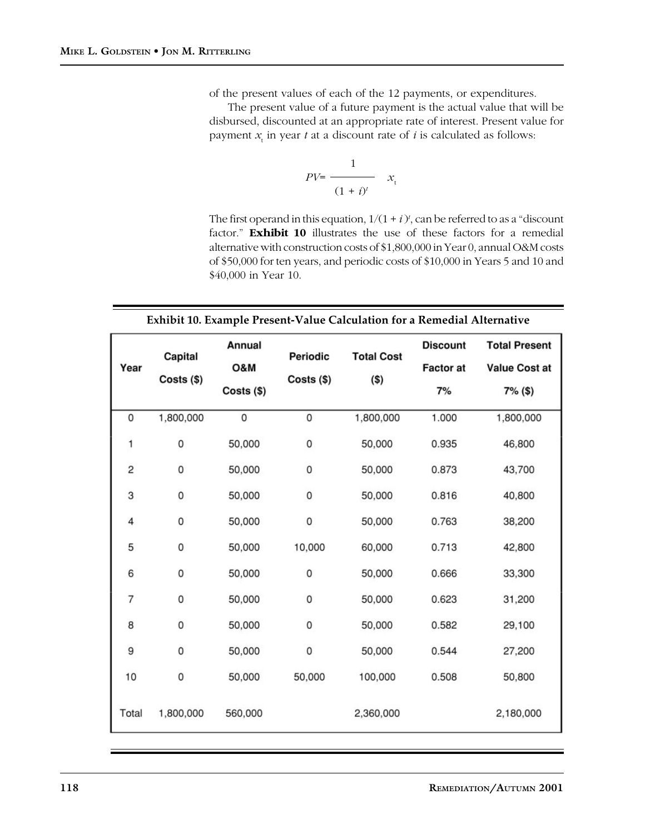of the present values of each of the 12 payments, or expenditures.

The present value of a future payment is the actual value that will be disbursed, discounted at an appropriate rate of interest. Present value for payment  $x_t$  in year  $t$  at a discount rate of  $i$  is calculated as follows:

$$
PV = \frac{1}{(1+i)^t} \quad x_t
$$

The first operand in this equation,  $1/(1 + i)^t$ , can be referred to as a "discount factor." **Exhibit 10** illustrates the use of these factors for a remedial alternative with construction costs of \$1,800,000 in Year 0, annual O&M costs of \$50,000 for ten years, and periodic costs of \$10,000 in Years 5 and 10 and \$40,000 in Year 10.

**Exhibit 10. Example Present-Value Calculation for a Remedial Alternative**

| Year           | Capital<br>Costs (\$) | Annual<br><b>O&amp;M</b><br>Costs (\$) | <b>Periodic</b><br>$Costs$ (\$) | <b>Total Cost</b><br>$($ \$) | <b>Discount</b><br><b>Factor</b> at<br>7% | <b>Total Present</b><br><b>Value Cost at</b><br>$7%$ (\$) |
|----------------|-----------------------|----------------------------------------|---------------------------------|------------------------------|-------------------------------------------|-----------------------------------------------------------|
| $\mathsf 0$    | 1,800,000             | 0                                      | $\mathsf 0$                     | 1,800,000                    | 1.000                                     | 1,800,000                                                 |
| 1              | 0                     | 50,000                                 | $\bf 0$                         | 50,000                       | 0.935                                     | 46,800                                                    |
| $\overline{c}$ | 0                     | 50,000                                 | $\mathbf 0$                     | 50,000                       | 0.873                                     | 43,700                                                    |
| 3              | 0                     | 50,000                                 | 0                               | 50,000                       | 0.816                                     | 40,800                                                    |
| 4              | 0                     | 50,000                                 | $\pmb{0}$                       | 50,000                       | 0.763                                     | 38,200                                                    |
| 5              | 0                     | 50,000                                 | 10,000                          | 60,000                       | 0.713                                     | 42,800                                                    |
| 6              | 0                     | 50,000                                 | $\mathsf 0$                     | 50,000                       | 0.666                                     | 33,300                                                    |
| $\overline{7}$ | 0                     | 50,000                                 | $\mathbf 0$                     | 50,000                       | 0.623                                     | 31,200                                                    |
| 8              | $\mathbf 0$           | 50,000                                 | $\mathbf 0$                     | 50,000                       | 0.582                                     | 29,100                                                    |
| 9              | 0                     | 50,000                                 | $\mathsf 0$                     | 50,000                       | 0.544                                     | 27,200                                                    |
| 10             | 0                     | 50,000                                 | 50,000                          | 100,000                      | 0.508                                     | 50,800                                                    |
| Total          | 1,800,000             | 560,000                                |                                 | 2,360,000                    |                                           | 2,180,000                                                 |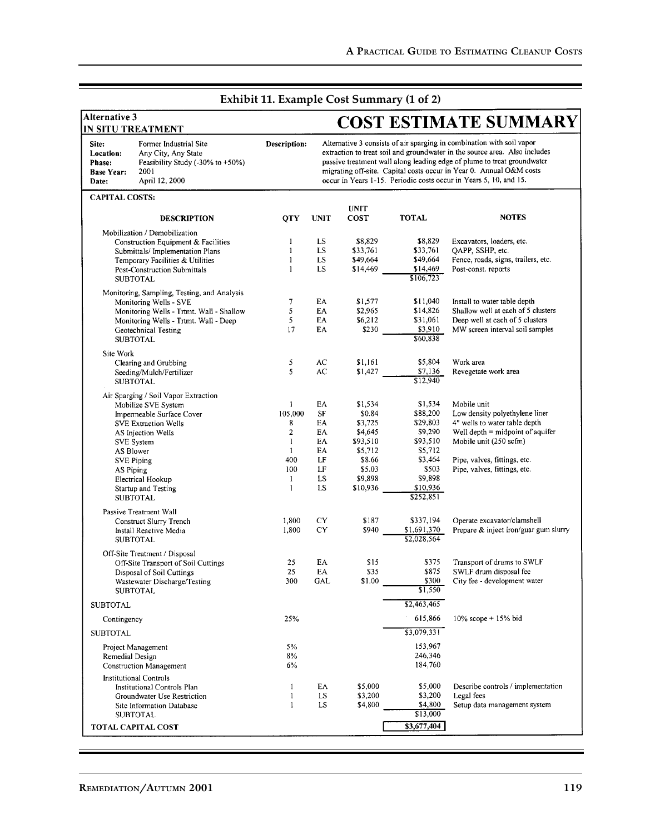# **Exhibit 11. Example Cost Summary (1 of 2)**

| Alternative 3                                                                                                                                                                                                                                                                                                                                            |                                                                                                                             |                                                                                                  | <b>COST ESTIMATE SUMMARY</b>                                                                                                                                                                                                                                                                                                                                               |                                                                                                                             |                                                                                                                                                                      |                                                                                                                                                                                                                                                                                        |  |
|----------------------------------------------------------------------------------------------------------------------------------------------------------------------------------------------------------------------------------------------------------------------------------------------------------------------------------------------------------|-----------------------------------------------------------------------------------------------------------------------------|--------------------------------------------------------------------------------------------------|----------------------------------------------------------------------------------------------------------------------------------------------------------------------------------------------------------------------------------------------------------------------------------------------------------------------------------------------------------------------------|-----------------------------------------------------------------------------------------------------------------------------|----------------------------------------------------------------------------------------------------------------------------------------------------------------------|----------------------------------------------------------------------------------------------------------------------------------------------------------------------------------------------------------------------------------------------------------------------------------------|--|
| IN SITU TREATMENT                                                                                                                                                                                                                                                                                                                                        |                                                                                                                             |                                                                                                  |                                                                                                                                                                                                                                                                                                                                                                            |                                                                                                                             |                                                                                                                                                                      |                                                                                                                                                                                                                                                                                        |  |
| Site:<br>Location:<br>Phase:<br><b>Base Year:</b><br>Date:                                                                                                                                                                                                                                                                                               | Former Industrial Site<br>Description:<br>Any City, Any State<br>Feasibility Study (-30% to +50%)<br>2001<br>April 12, 2000 |                                                                                                  | Alternative 3 consists of air sparging in combination with soil vapor<br>extraction to treat soil and groundwater in the source area. Also includes<br>passive treatment wall along leading edge of plume to treat groundwater<br>migrating off-site. Capital costs occur in Year 0. Annual O&M costs<br>occur in Years 1-15. Periodic costs occur in Years 5, 10, and 15. |                                                                                                                             |                                                                                                                                                                      |                                                                                                                                                                                                                                                                                        |  |
| <b>CAPITAL COSTS:</b>                                                                                                                                                                                                                                                                                                                                    |                                                                                                                             |                                                                                                  |                                                                                                                                                                                                                                                                                                                                                                            |                                                                                                                             |                                                                                                                                                                      |                                                                                                                                                                                                                                                                                        |  |
|                                                                                                                                                                                                                                                                                                                                                          |                                                                                                                             |                                                                                                  |                                                                                                                                                                                                                                                                                                                                                                            | <b>UNIT</b>                                                                                                                 |                                                                                                                                                                      |                                                                                                                                                                                                                                                                                        |  |
|                                                                                                                                                                                                                                                                                                                                                          | <b>DESCRIPTION</b>                                                                                                          | <b>QTY</b>                                                                                       | <b>UNIT</b>                                                                                                                                                                                                                                                                                                                                                                | <b>COST</b>                                                                                                                 | <b>TOTAL</b>                                                                                                                                                         | <b>NOTES</b>                                                                                                                                                                                                                                                                           |  |
| Mobilization / Demobilization<br>Construction Equipment & Facilities<br>Submittals/ Implementation Plans<br>Temporary Facilities & Utilities<br>Post-Construction Submittals<br><b>SUBTOTAL</b>                                                                                                                                                          |                                                                                                                             | $\mathbf{1}$<br>$\mathbf{1}$<br>$\mathbf{1}$<br>$\mathbf{1}$                                     | LS<br><b>LS</b><br>LS<br>LS                                                                                                                                                                                                                                                                                                                                                | \$8,829<br>\$33,761<br>\$49,664<br>\$14,469                                                                                 | \$8,829<br>\$33,761<br>\$49,664<br>\$14,469<br>\$106,723                                                                                                             | Excavators, loaders, etc.<br>OAPP, SSHP, etc.<br>Fence, roads, signs, trailers, etc.<br>Post-const. reports                                                                                                                                                                            |  |
|                                                                                                                                                                                                                                                                                                                                                          | Monitoring, Sampling, Testing, and Analysis                                                                                 |                                                                                                  |                                                                                                                                                                                                                                                                                                                                                                            |                                                                                                                             |                                                                                                                                                                      |                                                                                                                                                                                                                                                                                        |  |
|                                                                                                                                                                                                                                                                                                                                                          | Monitoring Wells - SVE                                                                                                      | 7<br>5                                                                                           | EA<br>EA                                                                                                                                                                                                                                                                                                                                                                   | \$1,577<br>\$2,965                                                                                                          | \$11,040<br>\$14,826                                                                                                                                                 | Install to water table depth<br>Shallow well at each of 5 clusters                                                                                                                                                                                                                     |  |
|                                                                                                                                                                                                                                                                                                                                                          | Monitoring Wells - Trtmt. Wall - Shallow<br>Monitoring Wells - Trtmt. Wall - Deep                                           | 5                                                                                                | EA                                                                                                                                                                                                                                                                                                                                                                         | \$6,212                                                                                                                     | \$31,061                                                                                                                                                             | Deep well at each of 5 clusters                                                                                                                                                                                                                                                        |  |
|                                                                                                                                                                                                                                                                                                                                                          | Geotechnical Testing                                                                                                        | 17                                                                                               | EA                                                                                                                                                                                                                                                                                                                                                                         | \$230                                                                                                                       | \$3,910                                                                                                                                                              | MW screen interval soil samples                                                                                                                                                                                                                                                        |  |
|                                                                                                                                                                                                                                                                                                                                                          | <b>SUBTOTAL</b>                                                                                                             |                                                                                                  |                                                                                                                                                                                                                                                                                                                                                                            |                                                                                                                             | \$60,838                                                                                                                                                             |                                                                                                                                                                                                                                                                                        |  |
| Site Work                                                                                                                                                                                                                                                                                                                                                |                                                                                                                             |                                                                                                  |                                                                                                                                                                                                                                                                                                                                                                            |                                                                                                                             |                                                                                                                                                                      |                                                                                                                                                                                                                                                                                        |  |
|                                                                                                                                                                                                                                                                                                                                                          | Clearing and Grubbing                                                                                                       | 5<br>5                                                                                           | AC<br>AC                                                                                                                                                                                                                                                                                                                                                                   | \$1,161<br>\$1,427                                                                                                          | \$5,804<br>\$7,136                                                                                                                                                   | Work area<br>Revegetate work area                                                                                                                                                                                                                                                      |  |
|                                                                                                                                                                                                                                                                                                                                                          | Seeding/Mulch/Fertilizer<br><b>SUBTOTAL</b>                                                                                 |                                                                                                  |                                                                                                                                                                                                                                                                                                                                                                            |                                                                                                                             | \$12,940                                                                                                                                                             |                                                                                                                                                                                                                                                                                        |  |
| Air Sparging / Soil Vapor Extraction<br>Mobilize SVE System<br>Impermeable Surface Cover<br><b>SVE Extraction Wells</b><br>AS Injection Wells<br>SVE System<br>AS Blower<br><b>SVE Piping</b><br>AS Piping<br>Electrical Hookup<br>Startup and Testing<br><b>SUBTOTAL</b><br>Passive Treatment Wall<br>Construct Slurry Trench<br>Install Reactive Media |                                                                                                                             | 1<br>105,000<br>8<br>2<br>$\mathbf{1}$<br>1<br>400<br>100<br>1<br>$\mathbf{1}$<br>1,800<br>1,800 | EA<br>SF<br>EA<br>EA<br>EA<br>EA<br>LF<br>LF<br>LS<br>LS<br>CY<br>CY                                                                                                                                                                                                                                                                                                       | \$1,534<br>\$0.84<br>\$3,725<br>\$4,645<br>\$93,510<br>\$5,712<br>\$8.66<br>\$5.03<br>\$9,898<br>\$10,936<br>\$187<br>\$940 | \$1,534<br>\$88,200<br>\$29,803<br>\$9,290<br>\$93,510<br>\$5,712<br>\$3,464<br>\$503<br>\$9,898<br>\$10,936<br>\$252,851<br>\$337,194<br>\$1,691,370<br>\$2,028,564 | Mobile unit<br>Low density polyethylene liner<br>4" wells to water table depth<br>Well depth $=$ midpoint of aquifer<br>Mobile unit (250 scfm)<br>Pipe, valves, fittings, etc.<br>Pipe, valves, fittings, etc.<br>Operate excavator/clamshell<br>Prepare & inject iron/guar gum slurry |  |
|                                                                                                                                                                                                                                                                                                                                                          | <b>SUBTOTAL</b>                                                                                                             |                                                                                                  |                                                                                                                                                                                                                                                                                                                                                                            |                                                                                                                             |                                                                                                                                                                      |                                                                                                                                                                                                                                                                                        |  |
| Off-Site Treatment / Disposal<br>Off-Site Transport of Soil Cuttings<br>Disposal of Soil Cuttings<br>Wastewater Discharge/Testing<br><b>SUBTOTAL</b>                                                                                                                                                                                                     |                                                                                                                             | 25<br>25<br>300                                                                                  | EA<br>EA<br>GAL                                                                                                                                                                                                                                                                                                                                                            | \$15<br>\$35<br>\$1.00                                                                                                      | \$375<br>\$875<br>\$300<br>\$1,550                                                                                                                                   | Transport of drums to SWLF<br>SWLF drum disposal fee<br>City fee - development water                                                                                                                                                                                                   |  |
| <b>SUBTOTAL</b>                                                                                                                                                                                                                                                                                                                                          |                                                                                                                             |                                                                                                  |                                                                                                                                                                                                                                                                                                                                                                            |                                                                                                                             | \$2,463,465                                                                                                                                                          |                                                                                                                                                                                                                                                                                        |  |
| Contingency                                                                                                                                                                                                                                                                                                                                              |                                                                                                                             | 25%                                                                                              |                                                                                                                                                                                                                                                                                                                                                                            |                                                                                                                             | 615,866                                                                                                                                                              | $10\%$ scope + 15% bid                                                                                                                                                                                                                                                                 |  |
| <b>SUBTOTAL</b>                                                                                                                                                                                                                                                                                                                                          |                                                                                                                             |                                                                                                  |                                                                                                                                                                                                                                                                                                                                                                            |                                                                                                                             | \$3,079,331                                                                                                                                                          |                                                                                                                                                                                                                                                                                        |  |
| Project Management<br>Remedial Design<br>Construction Management                                                                                                                                                                                                                                                                                         |                                                                                                                             | 5%<br>$8\%$<br>6%                                                                                |                                                                                                                                                                                                                                                                                                                                                                            |                                                                                                                             | 153,967<br>246,346<br>184,760                                                                                                                                        |                                                                                                                                                                                                                                                                                        |  |
|                                                                                                                                                                                                                                                                                                                                                          | <b>Institutional Controls</b><br>Institutional Controls Plan                                                                | $\mathbf{1}$                                                                                     | EA                                                                                                                                                                                                                                                                                                                                                                         | \$5,000                                                                                                                     | \$5,000                                                                                                                                                              | Describe controls / implementation                                                                                                                                                                                                                                                     |  |
|                                                                                                                                                                                                                                                                                                                                                          | Groundwater Use Restriction                                                                                                 | $\mathbf{1}$                                                                                     | LS                                                                                                                                                                                                                                                                                                                                                                         | \$3,200                                                                                                                     | \$3,200                                                                                                                                                              | Legal fees                                                                                                                                                                                                                                                                             |  |
|                                                                                                                                                                                                                                                                                                                                                          | Site Information Database                                                                                                   | $\mathbf{1}$                                                                                     | LS                                                                                                                                                                                                                                                                                                                                                                         | \$4,800                                                                                                                     | \$4,800<br>\$13,000                                                                                                                                                  | Setup data management system                                                                                                                                                                                                                                                           |  |
|                                                                                                                                                                                                                                                                                                                                                          | <b>SUBTOTAL</b><br><b>TOTAL CAPITAL COST</b>                                                                                |                                                                                                  |                                                                                                                                                                                                                                                                                                                                                                            |                                                                                                                             | \$3,677,404                                                                                                                                                          |                                                                                                                                                                                                                                                                                        |  |
|                                                                                                                                                                                                                                                                                                                                                          |                                                                                                                             |                                                                                                  |                                                                                                                                                                                                                                                                                                                                                                            |                                                                                                                             |                                                                                                                                                                      |                                                                                                                                                                                                                                                                                        |  |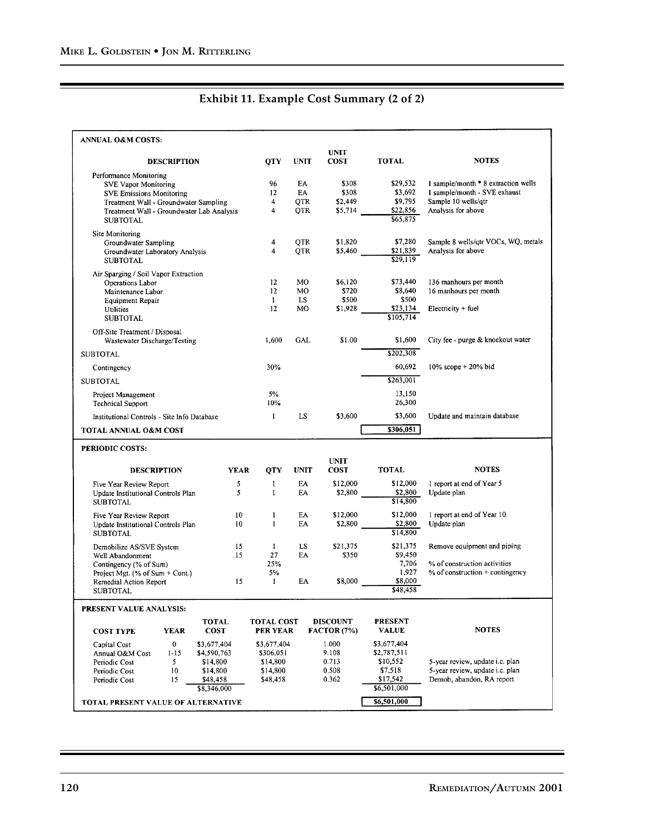÷

| <b>ANNUAL O&amp;M COSTS:</b>                                                                                                                                                                      |                                                                |                                                              |                                      |                                           |                                                               |                                                                                                                  |  |
|---------------------------------------------------------------------------------------------------------------------------------------------------------------------------------------------------|----------------------------------------------------------------|--------------------------------------------------------------|--------------------------------------|-------------------------------------------|---------------------------------------------------------------|------------------------------------------------------------------------------------------------------------------|--|
|                                                                                                                                                                                                   |                                                                |                                                              |                                      | <b>UNIT</b>                               |                                                               | <b>NOTES</b>                                                                                                     |  |
| <b>DESCRIPTION</b>                                                                                                                                                                                |                                                                | <b>QTY</b>                                                   | <b>UNIT</b>                          | <b>COST</b>                               | <b>TOTAL</b>                                                  |                                                                                                                  |  |
| Performance Monitoring<br><b>SVE Vapor Monitoring</b><br><b>SVE Emissions Monitoring</b><br>Treatment Wall - Groundwater Sampling<br>Treatment Wall - Groundwater Lab Analysis<br><b>SUBTOTAL</b> |                                                                | 96<br>12<br>$\overline{4}$<br>$\overline{4}$                 | EA<br>EA<br><b>QTR</b><br><b>OTR</b> | \$308<br>\$308<br>\$2,449<br>$$5,714$ _   | \$29,532<br>\$3.692<br>\$9,795<br>\$22,856<br>\$65,875        | 1 sample/month * 8 extraction wells<br>1 sample/month - SVE exhaust<br>Sample 10 wells/qtr<br>Analysis for above |  |
| Site Monitoring<br>Groundwater Sampling<br>Groundwater Laboratory Analysis<br><b>SUBTOTAL</b>                                                                                                     |                                                                | 4<br>4                                                       | QTR<br><b>QTR</b>                    | \$1,820<br>\$5,460                        | \$7,280<br>\$21,839<br>\$29,119                               | Sample 8 wells/qtr VOCs, WQ, metals<br>Analysis for above                                                        |  |
| Air Sparging / Soil Vapor Extraction<br>Operations Labor<br>Maintenance Labor<br>Equipment Repair<br><b>Utilities</b><br><b>SUBTOTAL</b>                                                          |                                                                | 12<br>12<br>$\mathbf{1}$<br>12                               | MO<br>M <sub>O</sub><br>LS<br>MO     | \$6,120<br>\$720<br>\$500<br>\$1,928      | \$73,440<br>\$8,640<br>\$500<br>\$23,134<br>\$105,714         | 136 manhours per month<br>16 manhours per month<br>$Electricity + fuel$                                          |  |
| Off-Site Treatment / Disposal<br>Wastewater Discharge/Testing                                                                                                                                     |                                                                | 1,600                                                        | GAL                                  | \$1.00                                    | \$1,600                                                       | City fee - purge & knockout water                                                                                |  |
| <b>SUBTOTAL</b>                                                                                                                                                                                   |                                                                |                                                              |                                      |                                           | \$202,308                                                     |                                                                                                                  |  |
| Contingency                                                                                                                                                                                       |                                                                | 30%                                                          |                                      |                                           | 60,692                                                        | 10% scope $+20%$ bid                                                                                             |  |
| <b>SUBTOTAL</b>                                                                                                                                                                                   |                                                                |                                                              |                                      |                                           | \$263,001                                                     |                                                                                                                  |  |
| Project Management<br><b>Technical Support</b>                                                                                                                                                    |                                                                | 5%<br>10%                                                    |                                      |                                           | 13,150<br>26,300                                              |                                                                                                                  |  |
| Institutional Controls - Site Info Database                                                                                                                                                       |                                                                | $\mathbf{1}$                                                 | LS                                   | \$3,600                                   | \$3,600                                                       | Update and maintain database                                                                                     |  |
| <b>TOTAL ANNUAL O&amp;M COST</b>                                                                                                                                                                  |                                                                |                                                              |                                      |                                           | \$306,051                                                     |                                                                                                                  |  |
| <b>PERIODIC COSTS:</b>                                                                                                                                                                            |                                                                |                                                              |                                      |                                           |                                                               |                                                                                                                  |  |
|                                                                                                                                                                                                   |                                                                |                                                              |                                      | <b>UNIT</b>                               |                                                               |                                                                                                                  |  |
| <b>DESCRIPTION</b>                                                                                                                                                                                | <b>YEAR</b>                                                    | <b>OTY</b>                                                   | <b>UNIT</b>                          | <b>COST</b>                               | <b>TOTAL</b>                                                  | <b>NOTES</b>                                                                                                     |  |
| Five Year Review Report<br>Update Institutional Controls Plan<br><b>SUBTOTAL</b>                                                                                                                  | 5<br>5                                                         | $\mathbf{1}$<br>$\mathbf{1}$                                 | EA<br>EA                             | \$12,000<br>\$2,800                       | \$12,000<br>\$2,800<br>\$14,800                               | 1 report at end of Year 5<br>Update plan                                                                         |  |
| Five Year Review Report<br>Update Institutional Controls Plan<br><b>SUBTOTAL</b>                                                                                                                  | 10<br>10                                                       | $\mathbf{1}$<br>$\mathbf{1}$                                 | EA<br>EA                             | \$12,000<br>\$2,800                       | \$12,000<br>\$2,800<br>\$14,800                               | 1 report at end of Year 10<br>Update plan                                                                        |  |
| Demobilize AS/SVE System<br>Well Abandonment                                                                                                                                                      | 15<br>15                                                       | 1<br>27                                                      | <b>LS</b><br>EA                      | \$21,375<br>\$350                         | \$21,375<br>\$9,450                                           | Remove equipment and piping                                                                                      |  |
| Contingency (% of Sum)<br>Project Mgt. (% of Sum + Cont.)<br>Remedial Action Report<br><b>SUBTOTAL</b>                                                                                            | 15                                                             | 25%<br>5%<br>$\mathbf{1}$                                    | EA                                   | \$8,000                                   | 7,706<br>1,927<br>\$8,000<br>\$48.458                         | % of construction activities<br>% of construction + contingency                                                  |  |
| PRESENT VALUE ANALYSIS:                                                                                                                                                                           |                                                                |                                                              |                                      |                                           |                                                               |                                                                                                                  |  |
| <b>YEAR</b><br><b>COST TYPE</b>                                                                                                                                                                   | <b>TOTAL</b><br><b>COST</b>                                    | <b>TOTAL COST</b><br>PER YEAR                                |                                      | <b>DISCOUNT</b><br><b>FACTOR</b> (7%)     | <b>PRESENT</b><br><b>VALUE</b>                                | <b>NOTES</b>                                                                                                     |  |
| $\bf{0}$<br>Capital Cost<br>$1 - 15$<br>Annual O&M Cost<br>Periodic Cost<br>5<br>10<br>Periodic Cost<br>15<br>Periodic Cost                                                                       | \$3,677,404<br>\$4,590,763<br>\$14,800<br>\$14,800<br>\$48,458 | \$3.677,404<br>\$306,051<br>\$14,800<br>\$14,800<br>\$48,458 |                                      | 1.000<br>9.108<br>0.713<br>0.508<br>0.362 | \$3,677,404<br>\$2,787,511<br>\$10,552<br>\$7,518<br>\$17,542 | 5-year review, update i.c. plan<br>5-year review, update i.c. plan<br>Demob, abandon, RA report                  |  |
|                                                                                                                                                                                                   | \$8,346,000                                                    |                                                              |                                      |                                           | \$6,501,000                                                   |                                                                                                                  |  |
| TOTAL PRESENT VALUE OF ALTERNATIVE                                                                                                                                                                |                                                                |                                                              |                                      |                                           | \$6,501,000                                                   |                                                                                                                  |  |